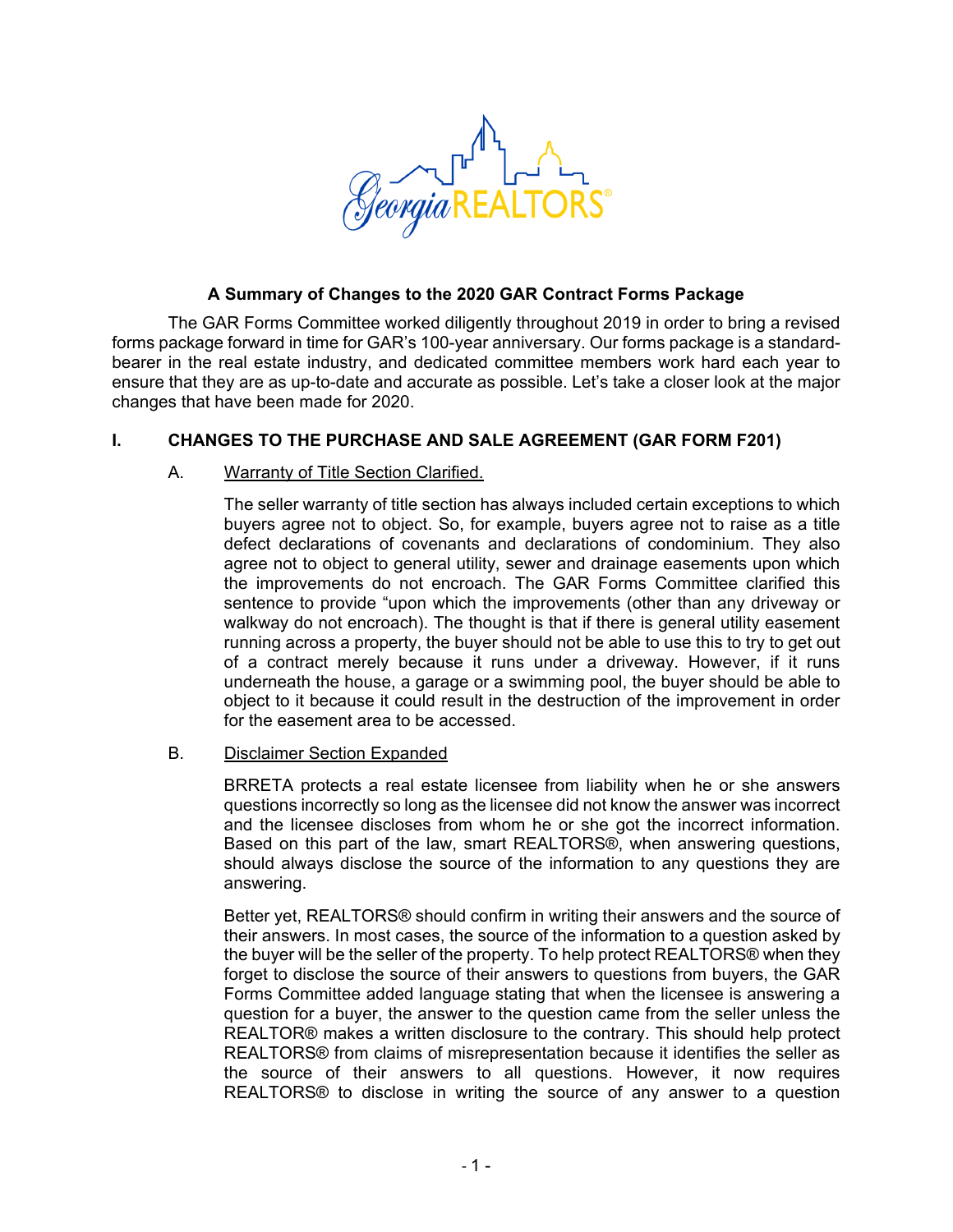

## **A Summary of Changes to the 2020 GAR Contract Forms Package**

The GAR Forms Committee worked diligently throughout 2019 in order to bring a revised forms package forward in time for GAR's 100-year anniversary. Our forms package is a standardbearer in the real estate industry, and dedicated committee members work hard each year to ensure that they are as up-to-date and accurate as possible. Let's take a closer look at the major changes that have been made for 2020.

# **I. CHANGES TO THE PURCHASE AND SALE AGREEMENT (GAR FORM F201)**

## A. Warranty of Title Section Clarified.

The seller warranty of title section has always included certain exceptions to which buyers agree not to object. So, for example, buyers agree not to raise as a title defect declarations of covenants and declarations of condominium. They also agree not to object to general utility, sewer and drainage easements upon which the improvements do not encroach. The GAR Forms Committee clarified this sentence to provide "upon which the improvements (other than any driveway or walkway do not encroach). The thought is that if there is general utility easement running across a property, the buyer should not be able to use this to try to get out of a contract merely because it runs under a driveway. However, if it runs underneath the house, a garage or a swimming pool, the buyer should be able to object to it because it could result in the destruction of the improvement in order for the easement area to be accessed.

## B. Disclaimer Section Expanded

BRRETA protects a real estate licensee from liability when he or she answers questions incorrectly so long as the licensee did not know the answer was incorrect and the licensee discloses from whom he or she got the incorrect information. Based on this part of the law, smart REALTORS®, when answering questions, should always disclose the source of the information to any questions they are answering.

Better yet, REALTORS® should confirm in writing their answers and the source of their answers. In most cases, the source of the information to a question asked by the buyer will be the seller of the property. To help protect REALTORS® when they forget to disclose the source of their answers to questions from buyers, the GAR Forms Committee added language stating that when the licensee is answering a question for a buyer, the answer to the question came from the seller unless the REALTOR® makes a written disclosure to the contrary. This should help protect REALTORS® from claims of misrepresentation because it identifies the seller as the source of their answers to all questions. However, it now requires REALTORS® to disclose in writing the source of any answer to a question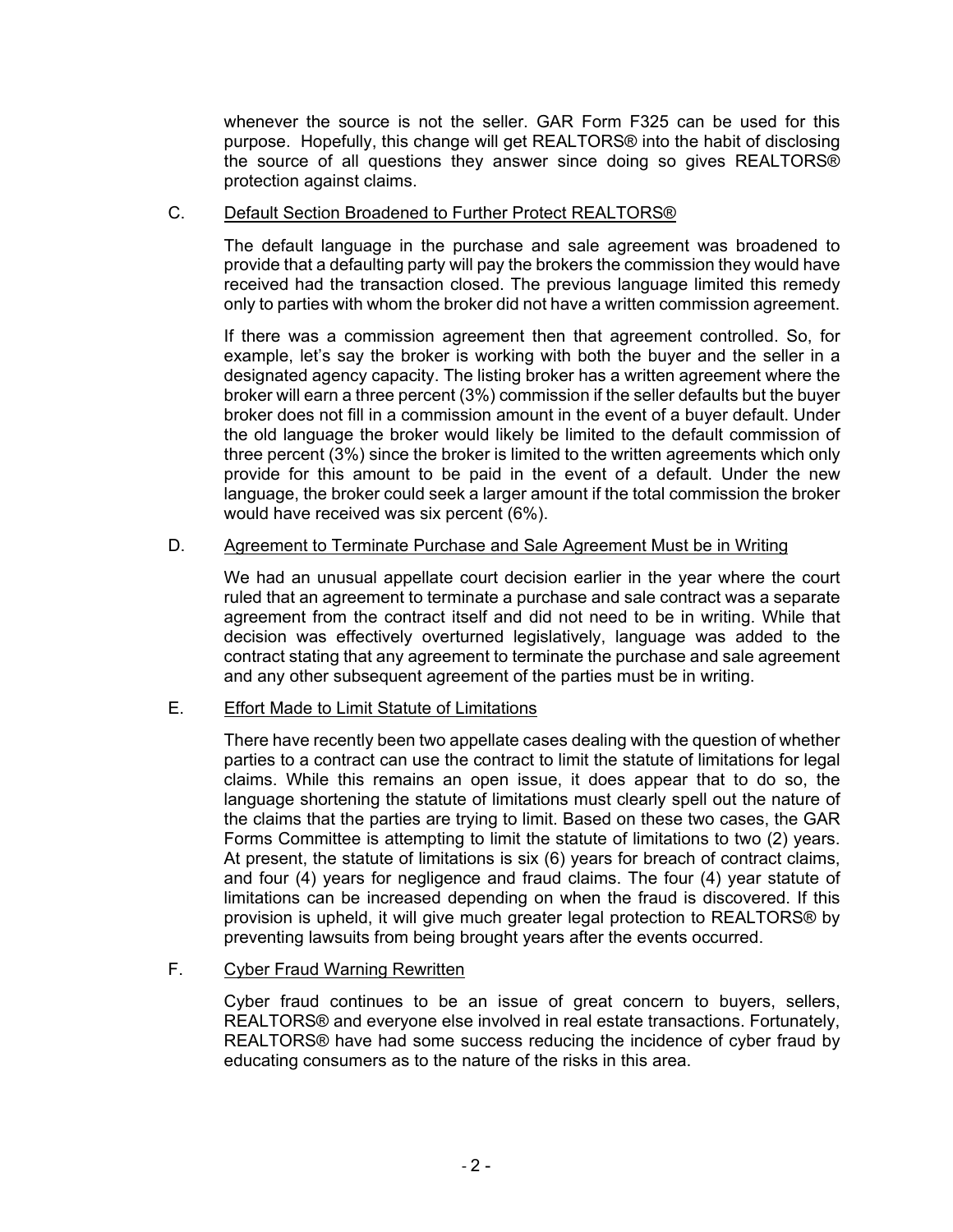whenever the source is not the seller. GAR Form F325 can be used for this purpose. Hopefully, this change will get REALTORS® into the habit of disclosing the source of all questions they answer since doing so gives REALTORS® protection against claims.

#### C. Default Section Broadened to Further Protect REALTORS®

The default language in the purchase and sale agreement was broadened to provide that a defaulting party will pay the brokers the commission they would have received had the transaction closed. The previous language limited this remedy only to parties with whom the broker did not have a written commission agreement.

If there was a commission agreement then that agreement controlled. So, for example, let's say the broker is working with both the buyer and the seller in a designated agency capacity. The listing broker has a written agreement where the broker will earn a three percent (3%) commission if the seller defaults but the buyer broker does not fill in a commission amount in the event of a buyer default. Under the old language the broker would likely be limited to the default commission of three percent (3%) since the broker is limited to the written agreements which only provide for this amount to be paid in the event of a default. Under the new language, the broker could seek a larger amount if the total commission the broker would have received was six percent (6%).

#### D. Agreement to Terminate Purchase and Sale Agreement Must be in Writing

We had an unusual appellate court decision earlier in the year where the court ruled that an agreement to terminate a purchase and sale contract was a separate agreement from the contract itself and did not need to be in writing. While that decision was effectively overturned legislatively, language was added to the contract stating that any agreement to terminate the purchase and sale agreement and any other subsequent agreement of the parties must be in writing.

## E. Effort Made to Limit Statute of Limitations

There have recently been two appellate cases dealing with the question of whether parties to a contract can use the contract to limit the statute of limitations for legal claims. While this remains an open issue, it does appear that to do so, the language shortening the statute of limitations must clearly spell out the nature of the claims that the parties are trying to limit. Based on these two cases, the GAR Forms Committee is attempting to limit the statute of limitations to two (2) years. At present, the statute of limitations is six (6) years for breach of contract claims, and four (4) years for negligence and fraud claims. The four (4) year statute of limitations can be increased depending on when the fraud is discovered. If this provision is upheld, it will give much greater legal protection to REALTORS® by preventing lawsuits from being brought years after the events occurred.

## F. Cyber Fraud Warning Rewritten

Cyber fraud continues to be an issue of great concern to buyers, sellers, REALTORS® and everyone else involved in real estate transactions. Fortunately, REALTORS® have had some success reducing the incidence of cyber fraud by educating consumers as to the nature of the risks in this area.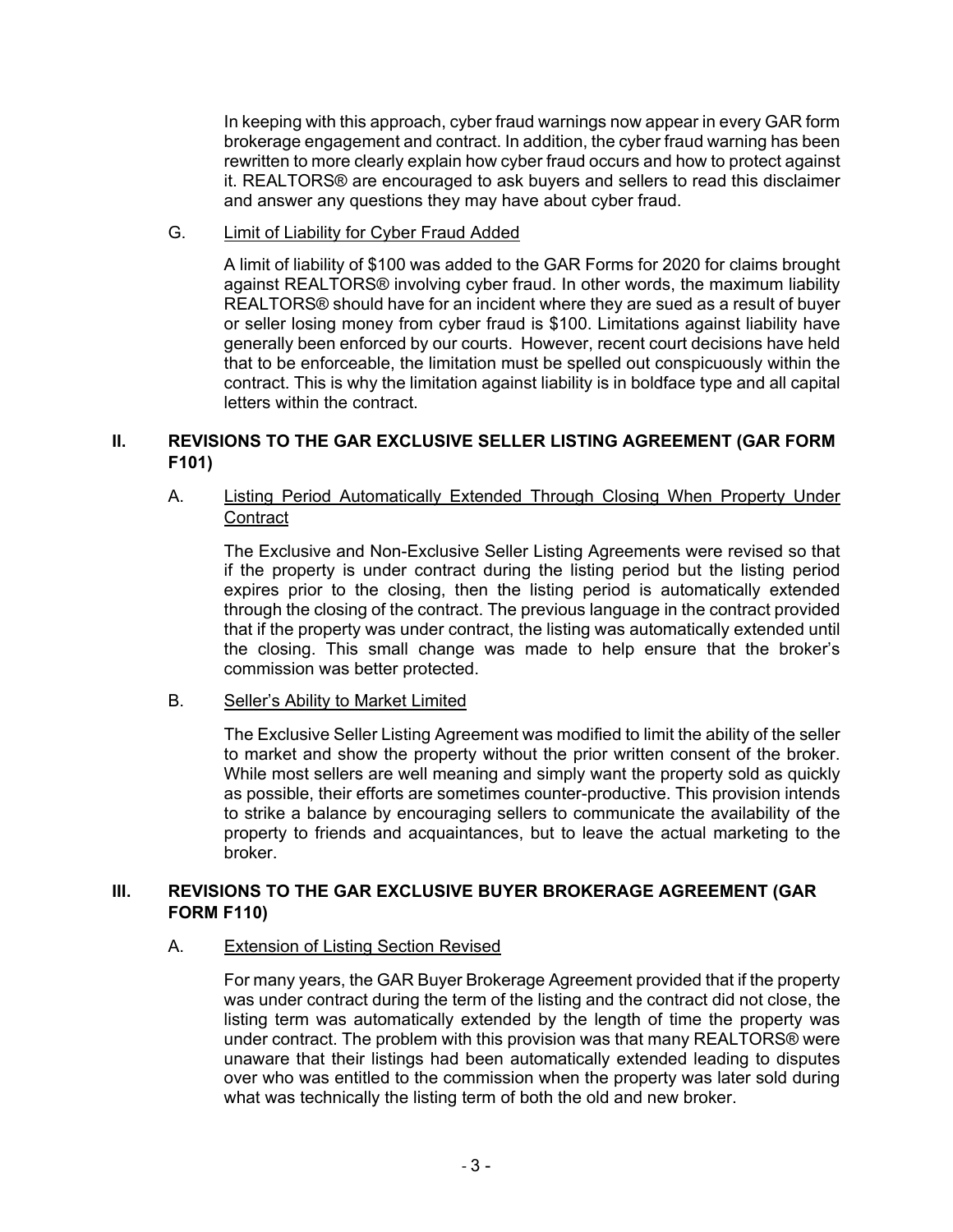In keeping with this approach, cyber fraud warnings now appear in every GAR form brokerage engagement and contract. In addition, the cyber fraud warning has been rewritten to more clearly explain how cyber fraud occurs and how to protect against it. REALTORS® are encouraged to ask buyers and sellers to read this disclaimer and answer any questions they may have about cyber fraud.

G. Limit of Liability for Cyber Fraud Added

A limit of liability of \$100 was added to the GAR Forms for 2020 for claims brought against REALTORS® involving cyber fraud. In other words, the maximum liability REALTORS® should have for an incident where they are sued as a result of buyer or seller losing money from cyber fraud is \$100. Limitations against liability have generally been enforced by our courts. However, recent court decisions have held that to be enforceable, the limitation must be spelled out conspicuously within the contract. This is why the limitation against liability is in boldface type and all capital letters within the contract.

# **II. REVISIONS TO THE GAR EXCLUSIVE SELLER LISTING AGREEMENT (GAR FORM F101)**

# A. Listing Period Automatically Extended Through Closing When Property Under **Contract**

The Exclusive and Non-Exclusive Seller Listing Agreements were revised so that if the property is under contract during the listing period but the listing period expires prior to the closing, then the listing period is automatically extended through the closing of the contract. The previous language in the contract provided that if the property was under contract, the listing was automatically extended until the closing. This small change was made to help ensure that the broker's commission was better protected.

## B. Seller's Ability to Market Limited

The Exclusive Seller Listing Agreement was modified to limit the ability of the seller to market and show the property without the prior written consent of the broker. While most sellers are well meaning and simply want the property sold as quickly as possible, their efforts are sometimes counter-productive. This provision intends to strike a balance by encouraging sellers to communicate the availability of the property to friends and acquaintances, but to leave the actual marketing to the broker.

# **III. REVISIONS TO THE GAR EXCLUSIVE BUYER BROKERAGE AGREEMENT (GAR FORM F110)**

## A. Extension of Listing Section Revised

For many years, the GAR Buyer Brokerage Agreement provided that if the property was under contract during the term of the listing and the contract did not close, the listing term was automatically extended by the length of time the property was under contract. The problem with this provision was that many REALTORS® were unaware that their listings had been automatically extended leading to disputes over who was entitled to the commission when the property was later sold during what was technically the listing term of both the old and new broker.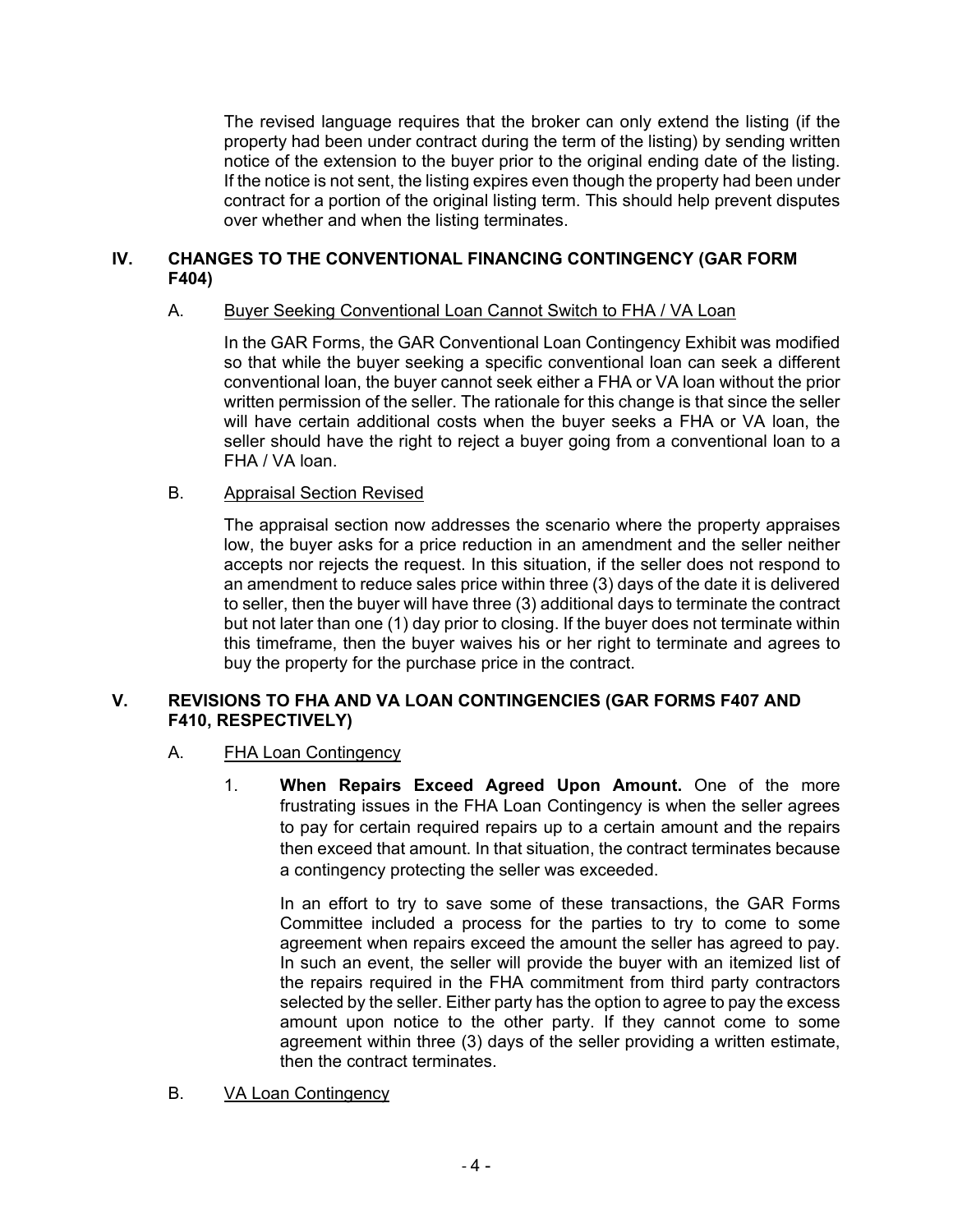The revised language requires that the broker can only extend the listing (if the property had been under contract during the term of the listing) by sending written notice of the extension to the buyer prior to the original ending date of the listing. If the notice is not sent, the listing expires even though the property had been under contract for a portion of the original listing term. This should help prevent disputes over whether and when the listing terminates.

# **IV. CHANGES TO THE CONVENTIONAL FINANCING CONTINGENCY (GAR FORM F404)**

## A. Buyer Seeking Conventional Loan Cannot Switch to FHA / VA Loan

In the GAR Forms, the GAR Conventional Loan Contingency Exhibit was modified so that while the buyer seeking a specific conventional loan can seek a different conventional loan, the buyer cannot seek either a FHA or VA loan without the prior written permission of the seller. The rationale for this change is that since the seller will have certain additional costs when the buyer seeks a FHA or VA loan, the seller should have the right to reject a buyer going from a conventional loan to a FHA / VA loan.

## B. Appraisal Section Revised

The appraisal section now addresses the scenario where the property appraises low, the buyer asks for a price reduction in an amendment and the seller neither accepts nor rejects the request. In this situation, if the seller does not respond to an amendment to reduce sales price within three (3) days of the date it is delivered to seller, then the buyer will have three (3) additional days to terminate the contract but not later than one (1) day prior to closing. If the buyer does not terminate within this timeframe, then the buyer waives his or her right to terminate and agrees to buy the property for the purchase price in the contract.

## **V. REVISIONS TO FHA AND VA LOAN CONTINGENCIES (GAR FORMS F407 AND F410, RESPECTIVELY)**

## A. FHA Loan Contingency

1. **When Repairs Exceed Agreed Upon Amount.** One of the more frustrating issues in the FHA Loan Contingency is when the seller agrees to pay for certain required repairs up to a certain amount and the repairs then exceed that amount. In that situation, the contract terminates because a contingency protecting the seller was exceeded.

In an effort to try to save some of these transactions, the GAR Forms Committee included a process for the parties to try to come to some agreement when repairs exceed the amount the seller has agreed to pay. In such an event, the seller will provide the buyer with an itemized list of the repairs required in the FHA commitment from third party contractors selected by the seller. Either party has the option to agree to pay the excess amount upon notice to the other party. If they cannot come to some agreement within three (3) days of the seller providing a written estimate, then the contract terminates.

B. VA Loan Contingency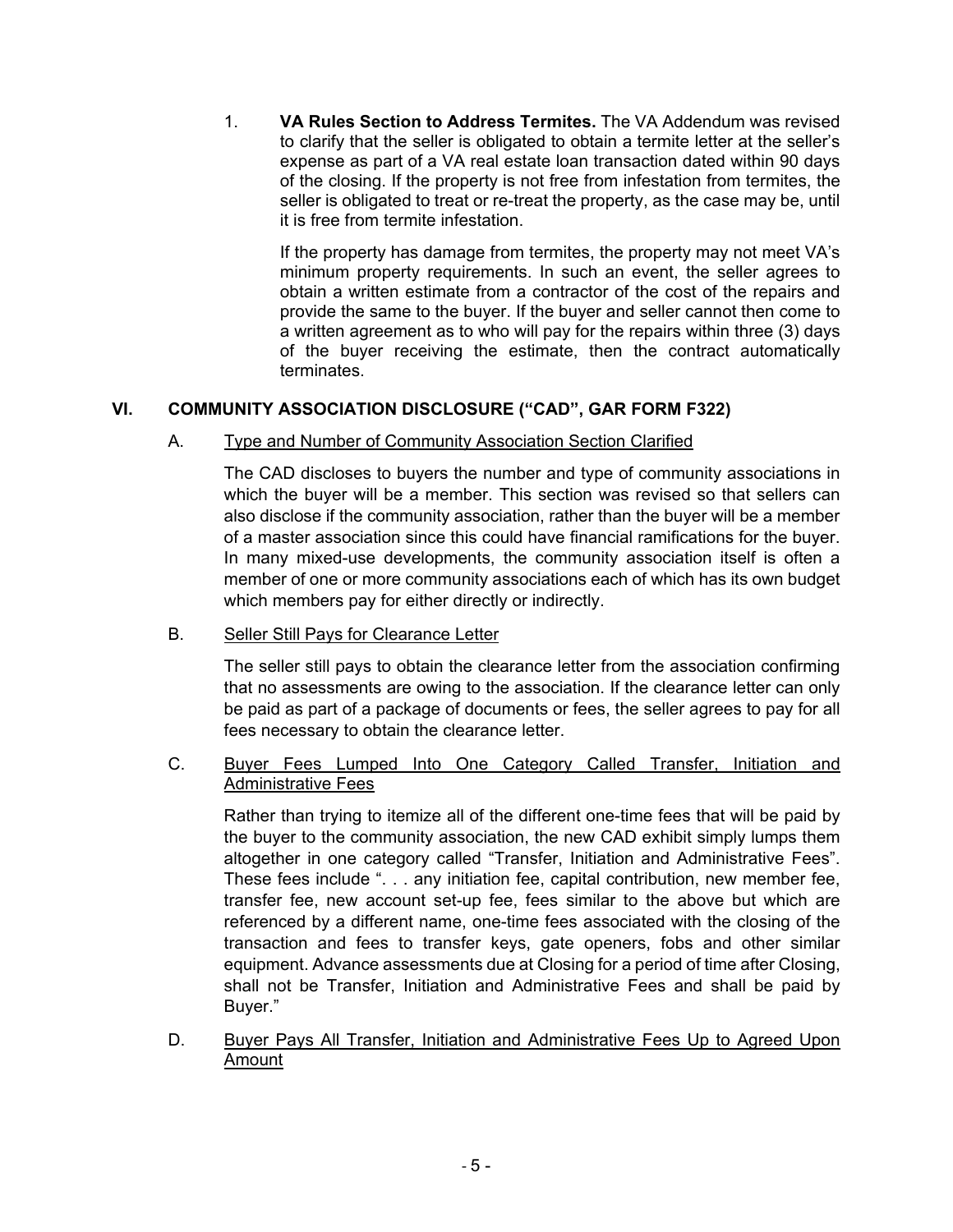1. **VA Rules Section to Address Termites.** The VA Addendum was revised to clarify that the seller is obligated to obtain a termite letter at the seller's expense as part of a VA real estate loan transaction dated within 90 days of the closing. If the property is not free from infestation from termites, the seller is obligated to treat or re-treat the property, as the case may be, until it is free from termite infestation.

If the property has damage from termites, the property may not meet VA's minimum property requirements. In such an event, the seller agrees to obtain a written estimate from a contractor of the cost of the repairs and provide the same to the buyer. If the buyer and seller cannot then come to a written agreement as to who will pay for the repairs within three (3) days of the buyer receiving the estimate, then the contract automatically terminates.

# **VI. COMMUNITY ASSOCIATION DISCLOSURE ("CAD", GAR FORM F322)**

# A. Type and Number of Community Association Section Clarified

The CAD discloses to buyers the number and type of community associations in which the buyer will be a member. This section was revised so that sellers can also disclose if the community association, rather than the buyer will be a member of a master association since this could have financial ramifications for the buyer. In many mixed-use developments, the community association itself is often a member of one or more community associations each of which has its own budget which members pay for either directly or indirectly.

# B. Seller Still Pays for Clearance Letter

The seller still pays to obtain the clearance letter from the association confirming that no assessments are owing to the association. If the clearance letter can only be paid as part of a package of documents or fees, the seller agrees to pay for all fees necessary to obtain the clearance letter.

## C. Buyer Fees Lumped Into One Category Called Transfer, Initiation and Administrative Fees

Rather than trying to itemize all of the different one-time fees that will be paid by the buyer to the community association, the new CAD exhibit simply lumps them altogether in one category called "Transfer, Initiation and Administrative Fees". These fees include ". . . any initiation fee, capital contribution, new member fee, transfer fee, new account set-up fee, fees similar to the above but which are referenced by a different name, one-time fees associated with the closing of the transaction and fees to transfer keys, gate openers, fobs and other similar equipment. Advance assessments due at Closing for a period of time after Closing, shall not be Transfer, Initiation and Administrative Fees and shall be paid by Buyer."

D. Buyer Pays All Transfer, Initiation and Administrative Fees Up to Agreed Upon Amount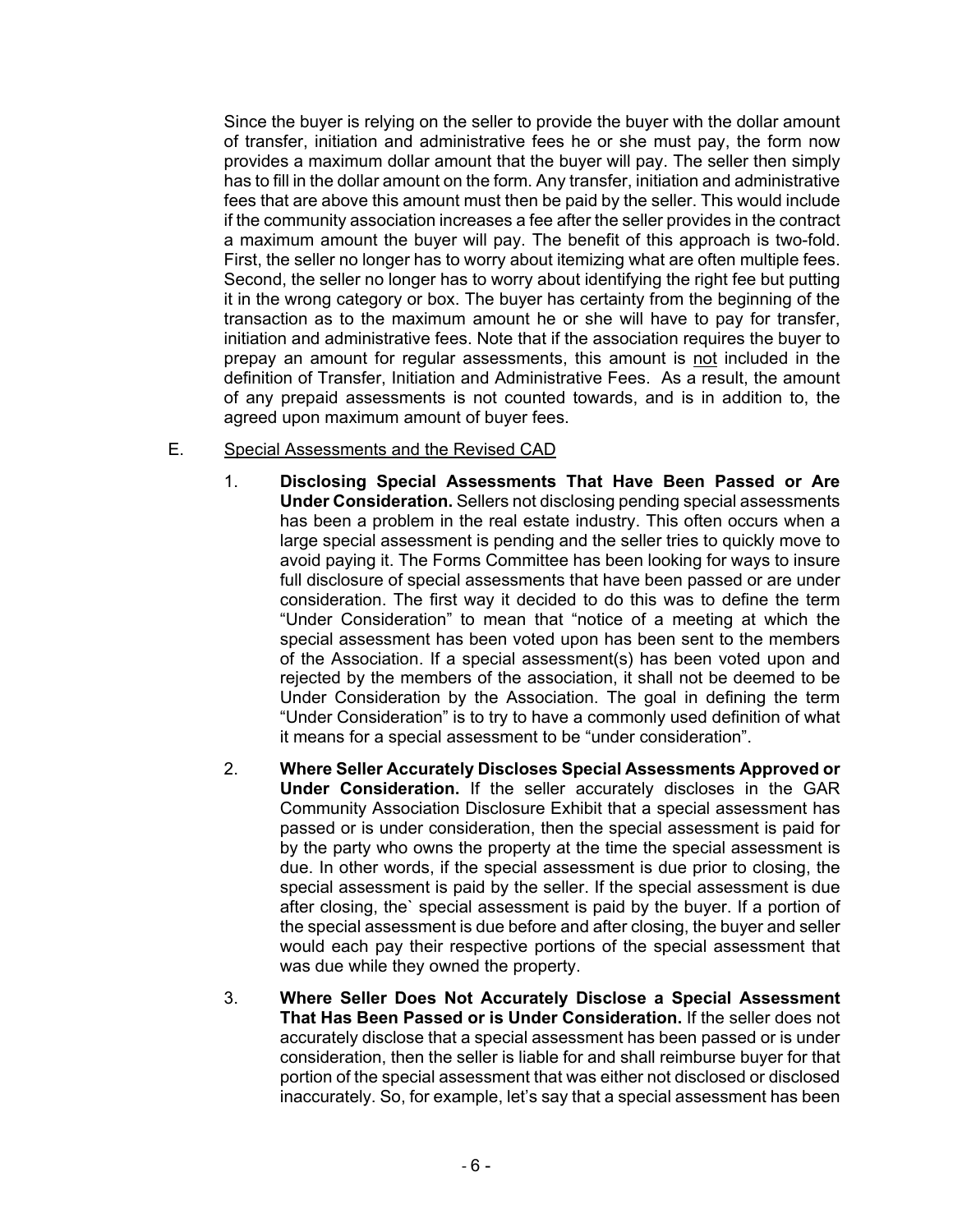Since the buyer is relying on the seller to provide the buyer with the dollar amount of transfer, initiation and administrative fees he or she must pay, the form now provides a maximum dollar amount that the buyer will pay. The seller then simply has to fill in the dollar amount on the form. Any transfer, initiation and administrative fees that are above this amount must then be paid by the seller. This would include if the community association increases a fee after the seller provides in the contract a maximum amount the buyer will pay. The benefit of this approach is two-fold. First, the seller no longer has to worry about itemizing what are often multiple fees. Second, the seller no longer has to worry about identifying the right fee but putting it in the wrong category or box. The buyer has certainty from the beginning of the transaction as to the maximum amount he or she will have to pay for transfer, initiation and administrative fees. Note that if the association requires the buyer to prepay an amount for regular assessments, this amount is not included in the definition of Transfer, Initiation and Administrative Fees. As a result, the amount of any prepaid assessments is not counted towards, and is in addition to, the agreed upon maximum amount of buyer fees.

- E. Special Assessments and the Revised CAD
	- 1. **Disclosing Special Assessments That Have Been Passed or Are Under Consideration.** Sellers not disclosing pending special assessments has been a problem in the real estate industry. This often occurs when a large special assessment is pending and the seller tries to quickly move to avoid paying it. The Forms Committee has been looking for ways to insure full disclosure of special assessments that have been passed or are under consideration. The first way it decided to do this was to define the term "Under Consideration" to mean that "notice of a meeting at which the special assessment has been voted upon has been sent to the members of the Association. If a special assessment(s) has been voted upon and rejected by the members of the association, it shall not be deemed to be Under Consideration by the Association. The goal in defining the term "Under Consideration" is to try to have a commonly used definition of what it means for a special assessment to be "under consideration".
	- 2. **Where Seller Accurately Discloses Special Assessments Approved or Under Consideration.** If the seller accurately discloses in the GAR Community Association Disclosure Exhibit that a special assessment has passed or is under consideration, then the special assessment is paid for by the party who owns the property at the time the special assessment is due. In other words, if the special assessment is due prior to closing, the special assessment is paid by the seller. If the special assessment is due after closing, the` special assessment is paid by the buyer. If a portion of the special assessment is due before and after closing, the buyer and seller would each pay their respective portions of the special assessment that was due while they owned the property.
	- 3. **Where Seller Does Not Accurately Disclose a Special Assessment That Has Been Passed or is Under Consideration.** If the seller does not accurately disclose that a special assessment has been passed or is under consideration, then the seller is liable for and shall reimburse buyer for that portion of the special assessment that was either not disclosed or disclosed inaccurately. So, for example, let's say that a special assessment has been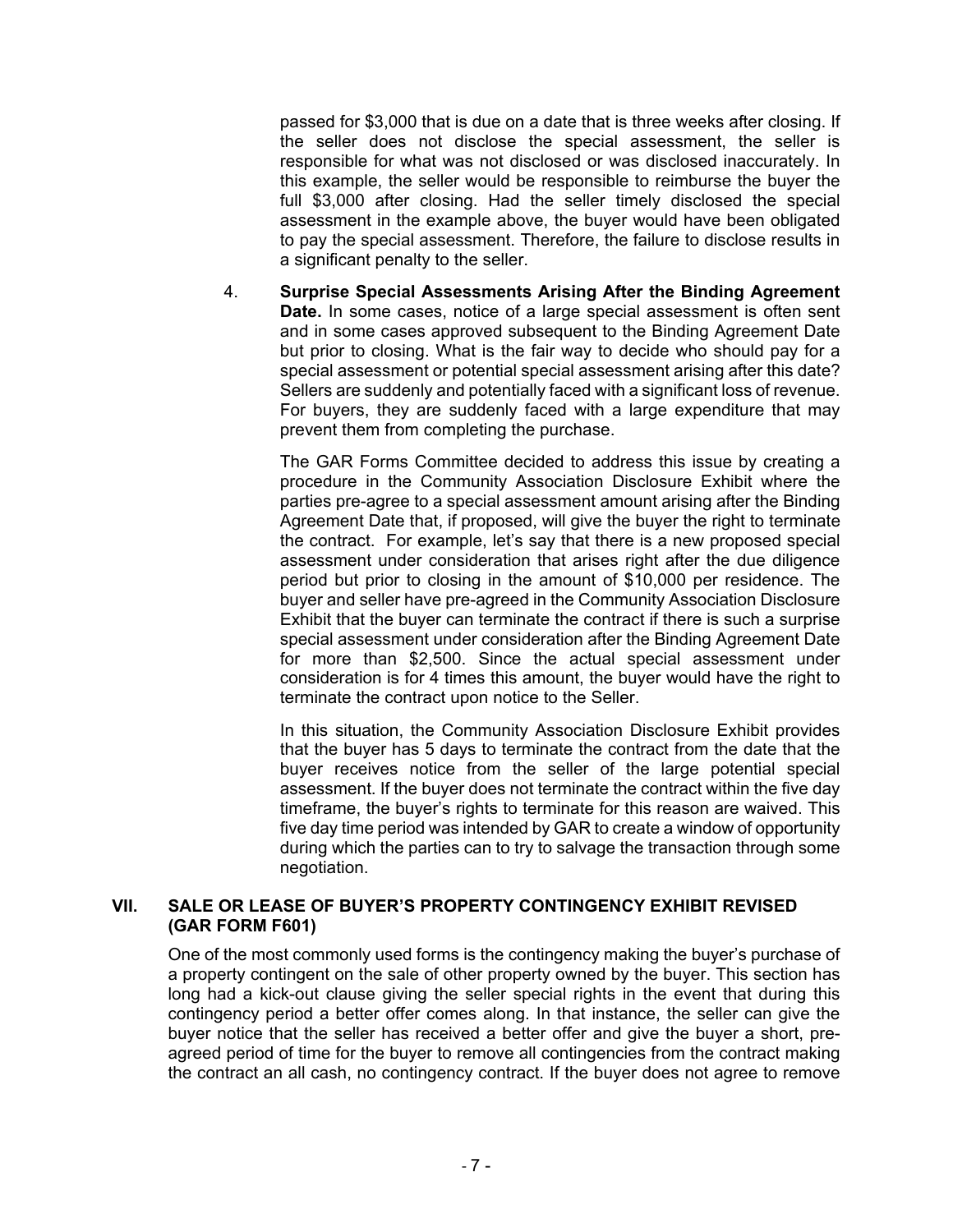passed for \$3,000 that is due on a date that is three weeks after closing. If the seller does not disclose the special assessment, the seller is responsible for what was not disclosed or was disclosed inaccurately. In this example, the seller would be responsible to reimburse the buyer the full \$3,000 after closing. Had the seller timely disclosed the special assessment in the example above, the buyer would have been obligated to pay the special assessment. Therefore, the failure to disclose results in a significant penalty to the seller.

4. **Surprise Special Assessments Arising After the Binding Agreement Date.** In some cases, notice of a large special assessment is often sent and in some cases approved subsequent to the Binding Agreement Date but prior to closing. What is the fair way to decide who should pay for a special assessment or potential special assessment arising after this date? Sellers are suddenly and potentially faced with a significant loss of revenue. For buyers, they are suddenly faced with a large expenditure that may prevent them from completing the purchase.

The GAR Forms Committee decided to address this issue by creating a procedure in the Community Association Disclosure Exhibit where the parties pre-agree to a special assessment amount arising after the Binding Agreement Date that, if proposed, will give the buyer the right to terminate the contract. For example, let's say that there is a new proposed special assessment under consideration that arises right after the due diligence period but prior to closing in the amount of \$10,000 per residence. The buyer and seller have pre-agreed in the Community Association Disclosure Exhibit that the buyer can terminate the contract if there is such a surprise special assessment under consideration after the Binding Agreement Date for more than \$2,500. Since the actual special assessment under consideration is for 4 times this amount, the buyer would have the right to terminate the contract upon notice to the Seller.

In this situation, the Community Association Disclosure Exhibit provides that the buyer has 5 days to terminate the contract from the date that the buyer receives notice from the seller of the large potential special assessment. If the buyer does not terminate the contract within the five day timeframe, the buyer's rights to terminate for this reason are waived. This five day time period was intended by GAR to create a window of opportunity during which the parties can to try to salvage the transaction through some negotiation.

## **VII. SALE OR LEASE OF BUYER'S PROPERTY CONTINGENCY EXHIBIT REVISED (GAR FORM F601)**

One of the most commonly used forms is the contingency making the buyer's purchase of a property contingent on the sale of other property owned by the buyer. This section has long had a kick-out clause giving the seller special rights in the event that during this contingency period a better offer comes along. In that instance, the seller can give the buyer notice that the seller has received a better offer and give the buyer a short, preagreed period of time for the buyer to remove all contingencies from the contract making the contract an all cash, no contingency contract. If the buyer does not agree to remove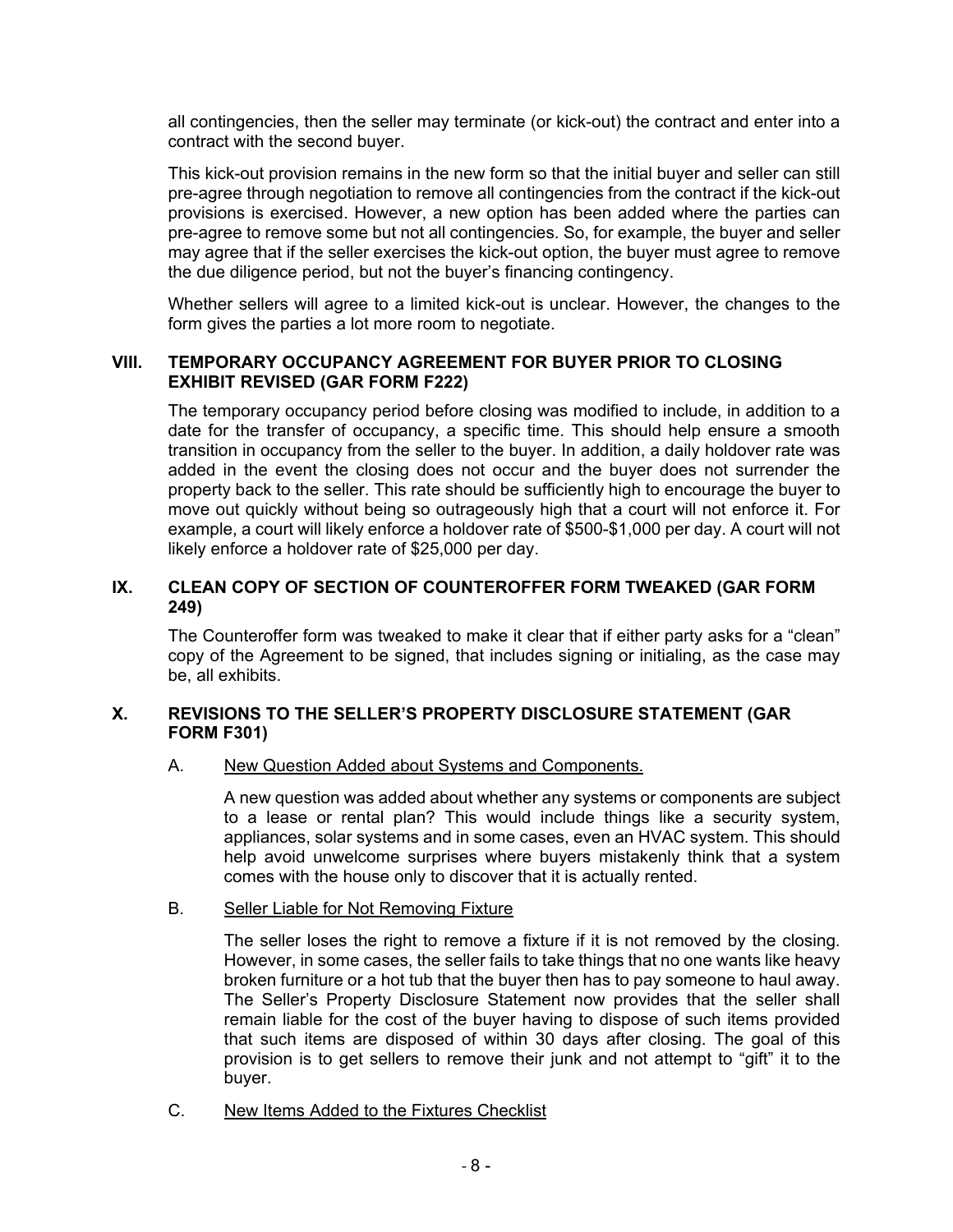all contingencies, then the seller may terminate (or kick-out) the contract and enter into a contract with the second buyer.

This kick-out provision remains in the new form so that the initial buyer and seller can still pre-agree through negotiation to remove all contingencies from the contract if the kick-out provisions is exercised. However, a new option has been added where the parties can pre-agree to remove some but not all contingencies. So, for example, the buyer and seller may agree that if the seller exercises the kick-out option, the buyer must agree to remove the due diligence period, but not the buyer's financing contingency.

Whether sellers will agree to a limited kick-out is unclear. However, the changes to the form gives the parties a lot more room to negotiate.

#### **VIII. TEMPORARY OCCUPANCY AGREEMENT FOR BUYER PRIOR TO CLOSING EXHIBIT REVISED (GAR FORM F222)**

The temporary occupancy period before closing was modified to include, in addition to a date for the transfer of occupancy, a specific time. This should help ensure a smooth transition in occupancy from the seller to the buyer. In addition, a daily holdover rate was added in the event the closing does not occur and the buyer does not surrender the property back to the seller. This rate should be sufficiently high to encourage the buyer to move out quickly without being so outrageously high that a court will not enforce it. For example, a court will likely enforce a holdover rate of \$500-\$1,000 per day. A court will not likely enforce a holdover rate of \$25,000 per day.

## **IX. CLEAN COPY OF SECTION OF COUNTEROFFER FORM TWEAKED (GAR FORM 249)**

The Counteroffer form was tweaked to make it clear that if either party asks for a "clean" copy of the Agreement to be signed, that includes signing or initialing, as the case may be, all exhibits.

## **X. REVISIONS TO THE SELLER'S PROPERTY DISCLOSURE STATEMENT (GAR FORM F301)**

## A. New Question Added about Systems and Components.

A new question was added about whether any systems or components are subject to a lease or rental plan? This would include things like a security system, appliances, solar systems and in some cases, even an HVAC system. This should help avoid unwelcome surprises where buyers mistakenly think that a system comes with the house only to discover that it is actually rented.

#### B. Seller Liable for Not Removing Fixture

The seller loses the right to remove a fixture if it is not removed by the closing. However, in some cases, the seller fails to take things that no one wants like heavy broken furniture or a hot tub that the buyer then has to pay someone to haul away. The Seller's Property Disclosure Statement now provides that the seller shall remain liable for the cost of the buyer having to dispose of such items provided that such items are disposed of within 30 days after closing. The goal of this provision is to get sellers to remove their junk and not attempt to "gift" it to the buyer.

C. New Items Added to the Fixtures Checklist